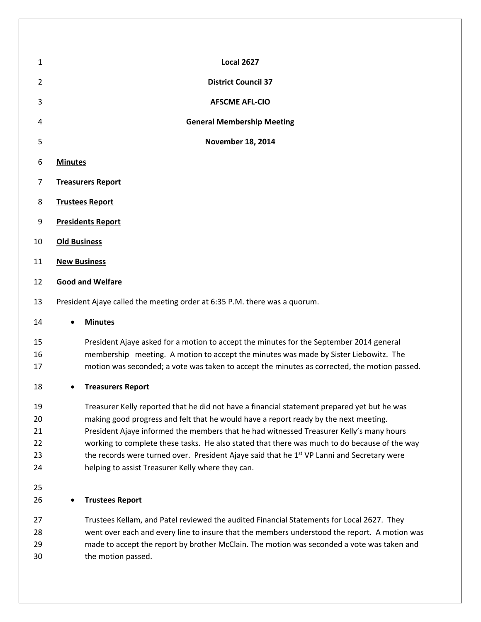| 1                                | <b>Local 2627</b>                                                                                                                                                                                                                                                                                                                                                                                                                                                                                                                             |  |  |
|----------------------------------|-----------------------------------------------------------------------------------------------------------------------------------------------------------------------------------------------------------------------------------------------------------------------------------------------------------------------------------------------------------------------------------------------------------------------------------------------------------------------------------------------------------------------------------------------|--|--|
| $\overline{2}$                   | <b>District Council 37</b>                                                                                                                                                                                                                                                                                                                                                                                                                                                                                                                    |  |  |
| 3                                | <b>AFSCME AFL-CIO</b>                                                                                                                                                                                                                                                                                                                                                                                                                                                                                                                         |  |  |
| 4                                | <b>General Membership Meeting</b>                                                                                                                                                                                                                                                                                                                                                                                                                                                                                                             |  |  |
| 5                                | <b>November 18, 2014</b>                                                                                                                                                                                                                                                                                                                                                                                                                                                                                                                      |  |  |
| 6                                | <b>Minutes</b>                                                                                                                                                                                                                                                                                                                                                                                                                                                                                                                                |  |  |
| $\overline{7}$                   | <b>Treasurers Report</b>                                                                                                                                                                                                                                                                                                                                                                                                                                                                                                                      |  |  |
| 8                                | <b>Trustees Report</b>                                                                                                                                                                                                                                                                                                                                                                                                                                                                                                                        |  |  |
| 9                                | <b>Presidents Report</b>                                                                                                                                                                                                                                                                                                                                                                                                                                                                                                                      |  |  |
| 10                               | <b>Old Business</b>                                                                                                                                                                                                                                                                                                                                                                                                                                                                                                                           |  |  |
| 11                               | <b>New Business</b>                                                                                                                                                                                                                                                                                                                                                                                                                                                                                                                           |  |  |
| 12                               | <b>Good and Welfare</b>                                                                                                                                                                                                                                                                                                                                                                                                                                                                                                                       |  |  |
| 13                               | President Ajaye called the meeting order at 6:35 P.M. there was a quorum.                                                                                                                                                                                                                                                                                                                                                                                                                                                                     |  |  |
| 14                               | <b>Minutes</b><br>$\bullet$                                                                                                                                                                                                                                                                                                                                                                                                                                                                                                                   |  |  |
| 15<br>16<br>17                   | President Ajaye asked for a motion to accept the minutes for the September 2014 general<br>membership meeting. A motion to accept the minutes was made by Sister Liebowitz. The<br>motion was seconded; a vote was taken to accept the minutes as corrected, the motion passed.                                                                                                                                                                                                                                                               |  |  |
| 18                               | <b>Treasurers Report</b><br>٠                                                                                                                                                                                                                                                                                                                                                                                                                                                                                                                 |  |  |
| 19<br>20<br>21<br>22<br>23<br>24 | Treasurer Kelly reported that he did not have a financial statement prepared yet but he was<br>making good progress and felt that he would have a report ready by the next meeting.<br>President Ajaye informed the members that he had witnessed Treasurer Kelly's many hours<br>working to complete these tasks. He also stated that there was much to do because of the way<br>the records were turned over. President Ajaye said that he 1 <sup>st</sup> VP Lanni and Secretary were<br>helping to assist Treasurer Kelly where they can. |  |  |
| 25<br>26                         | <b>Trustees Report</b>                                                                                                                                                                                                                                                                                                                                                                                                                                                                                                                        |  |  |
| 27<br>28<br>29<br>30             | Trustees Kellam, and Patel reviewed the audited Financial Statements for Local 2627. They<br>went over each and every line to insure that the members understood the report. A motion was<br>made to accept the report by brother McClain. The motion was seconded a vote was taken and<br>the motion passed.                                                                                                                                                                                                                                 |  |  |